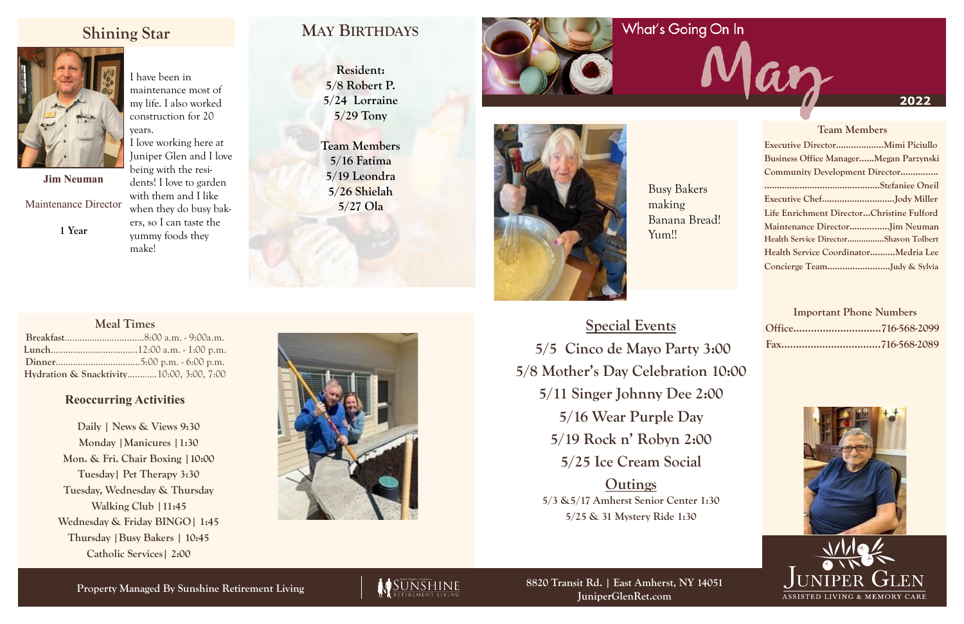**Property Managed By Sunshine Retirement Living**



#### **2022**

## **Shining Star**



**Resident: 5/8 Robert P. 5/24 Lorraine 5/29 Tony**

**Team Members 5/16 Fatima 5/19 Leondra 5/26 Shielah 5/27 Ola**



|  | <b>Team Members</b>                           |  |  |  |  |  |
|--|-----------------------------------------------|--|--|--|--|--|
|  |                                               |  |  |  |  |  |
|  | <b>Business Office ManagerMegan Parzynski</b> |  |  |  |  |  |
|  | Community Development Director                |  |  |  |  |  |
|  |                                               |  |  |  |  |  |
|  | Executive ChefJody Miller                     |  |  |  |  |  |
|  | Life Enrichment DirectorChristine Fulford     |  |  |  |  |  |
|  | Maintenance DirectorJim Neuman                |  |  |  |  |  |
|  | Health Service DirectorShavon Tolbert         |  |  |  |  |  |
|  | Health Service CoordinatorMedria Lee          |  |  |  |  |  |
|  | Concierge TeamJudy & Sylvia                   |  |  |  |  |  |
|  |                                               |  |  |  |  |  |

 $\boldsymbol{\mathcal{U}}$ 

#### **Important Phone Numbers**





**8820 Transit Rd. | East Amherst, NY 14051 JuniperGlenRet.com**

### **Meal Times**

| Hydration & Snacktivity10:00, 3:00, 7:00 |  |
|------------------------------------------|--|



Busy Bakers making Banana Bread! Yum!!

### **Reoccurring Activities**

**Daily | News & Views 9:30 Monday |Manicures |1:30 Mon. & Fri. Chair Boxing |10:00 Tuesday| Pet Therapy 3:30 Tuesday, Wednesday & Thursday Walking Club |11:45 Wednesday & Friday BINGO| 1:45 Thursday |Busy Bakers | 10:45 Catholic Services| 2:00**



**Jim Neuman**

Maintenance Director

**1 Year**

I have been in maintenance most of my life. I also worked construction for 20 years. I love working here at Juniper Glen and I love being with the residents! I love to garden with them and I like when they do busy bakers, so I can taste the

yummy foods they make!

> **Special Events 5/5 Cinco de Mayo Party 3:00 5/8 Mother's Day Celebration 10:00 5/11 Singer Johnny Dee 2:00 5/16 Wear Purple Day 5/19 Rock n' Robyn 2:00 5/25 Ice Cream Social Outings**

**5/3 &5/17 Amherst Senior Center 1:30 5/25 & 31 Mystery Ride 1:30**

# **MAY BIRTHDAYS**